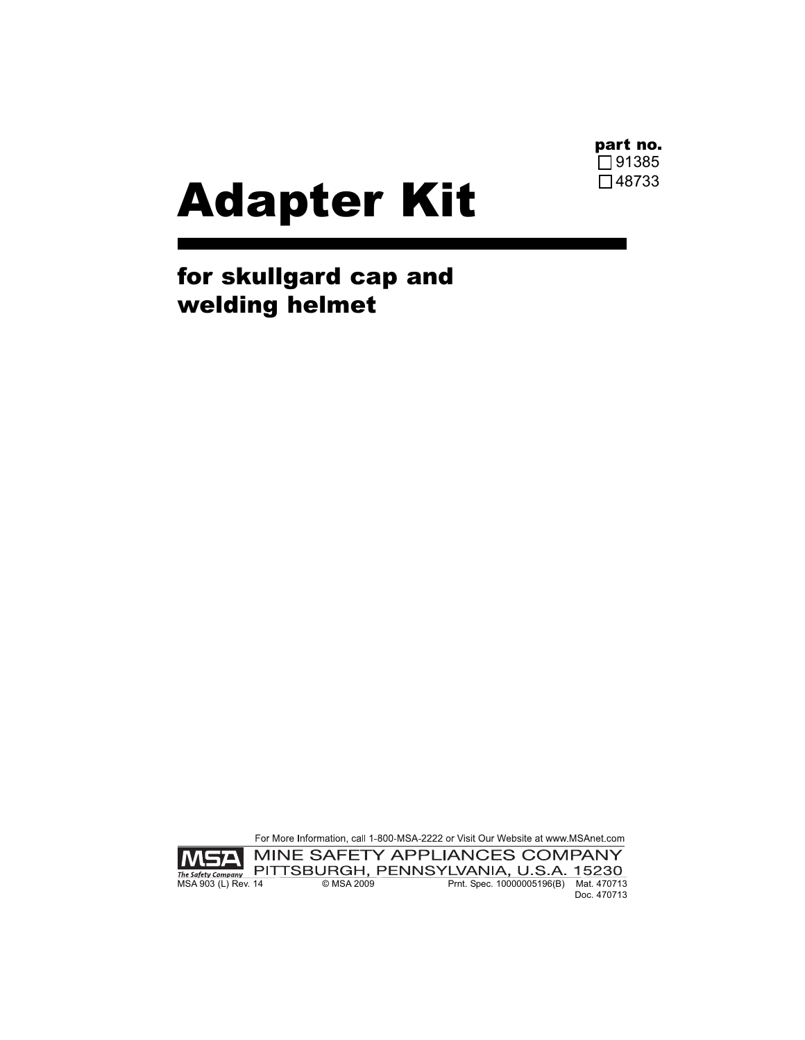

## Adapter Kit

for skullgard cap and welding helmet

For More Information, call 1-800-MSA-2222 or Visit Our Website at www.MSAnet.com



Doc. 470713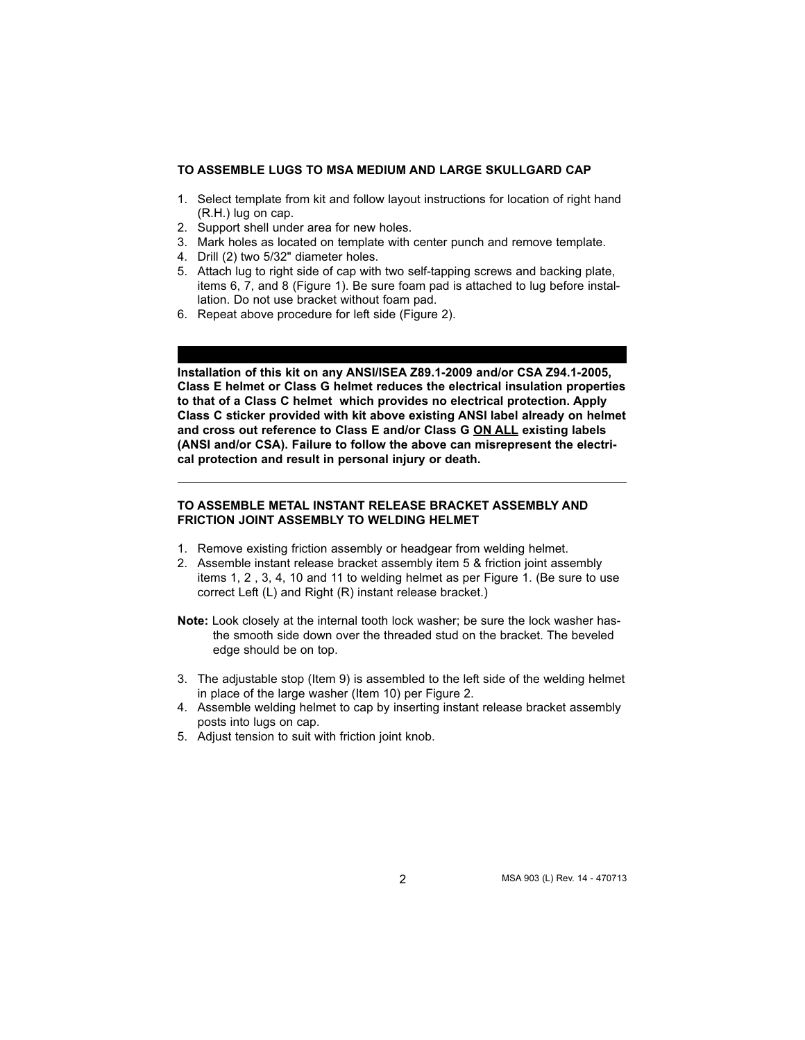## **TO ASSEMBLE LUGS TO MSA MEDIUM AND LARGE SKULLGARD CAP**

- 1. Select template from kit and follow layout instructions for location of right hand (R.H.) lug on cap.
- 2. Support shell under area for new holes.
- 3. Mark holes as located on template with center punch and remove template.
- 4. Drill (2) two 5/32" diameter holes.
- 5. Attach lug to right side of cap with two self-tapping screws and backing plate, items 6, 7, and 8 (Figure 1). Be sure foam pad is attached to lug before installation. Do not use bracket without foam pad.
- 6. Repeat above procedure for left side (Figure 2).

**Installation of this kit on any ANSI/ISEA Z89.1-2009 and/or CSA Z94.1-2005, Class E helmet or Class G helmet reduces the electrical insulation properties to that of a Class C helmet which provides no electrical protection. Apply Class C sticker provided with kit above existing ANSI label already on helmet and cross out reference to Class E and/or Class G ON ALL existing labels (ANSI and/or CSA). Failure to follow the above can misrepresent the electrical protection and result in personal injury or death.**

## **TO ASSEMBLE METAL INSTANT RELEASE BRACKET ASSEMBLY AND FRICTION JOINT ASSEMBLY TO WELDING HELMET**

- 1. Remove existing friction assembly or headgear from welding helmet.
- 2. Assemble instant release bracket assembly item 5 & friction joint assembly items 1, 2 , 3, 4, 10 and 11 to welding helmet as per Figure 1. (Be sure to use correct Left (L) and Right (R) instant release bracket.)

**Note:** Look closely at the internal tooth lock washer; be sure the lock washer hasthe smooth side down over the threaded stud on the bracket. The beveled edge should be on top.

- 3. The adjustable stop (Item 9) is assembled to the left side of the welding helmet in place of the large washer (Item 10) per Figure 2.
- 4. Assemble welding helmet to cap by inserting instant release bracket assembly posts into lugs on cap.
- 5. Adjust tension to suit with friction joint knob.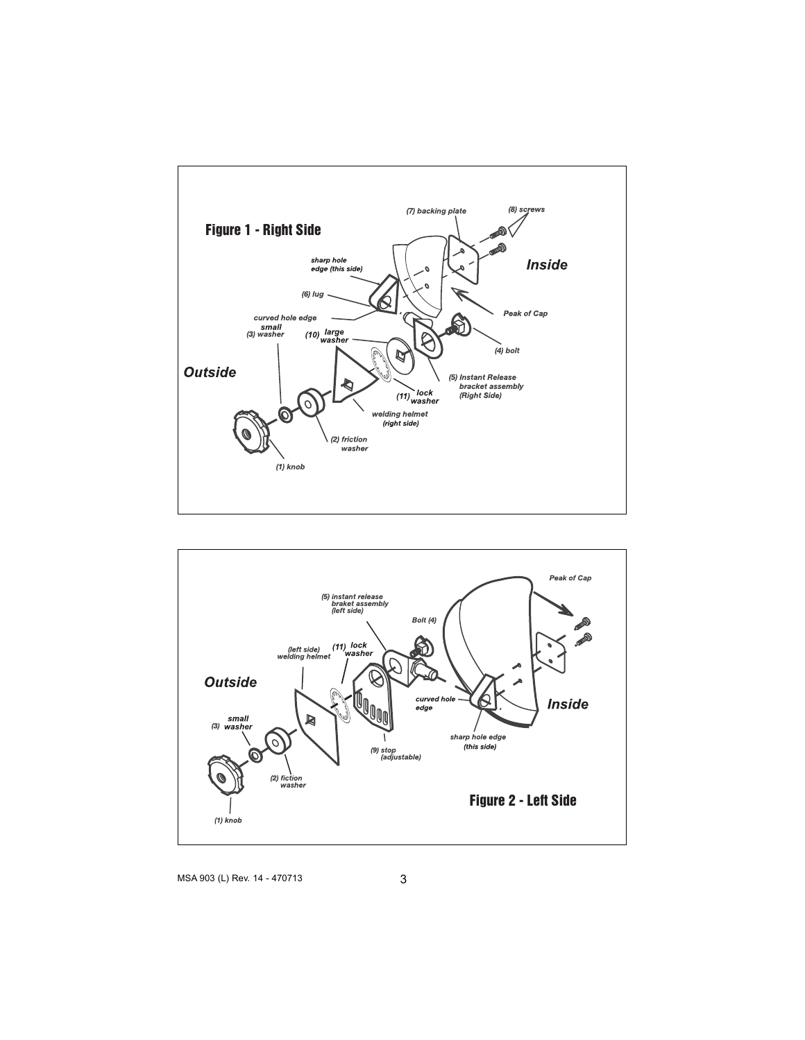



MSA 903 (L) Rev. 14 - 470713 3